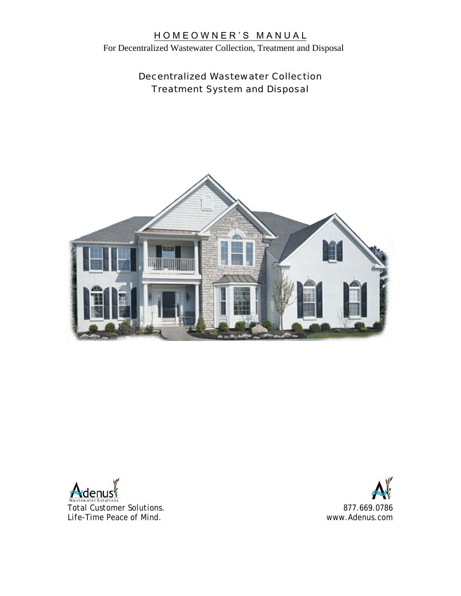For Decentralized Wastewater Collection, Treatment and Disposal

## Decentralized Wastewater Collection Treatment System and Disposal



Adenus

*Total Customer Solutions. Life-Time Peace of Mind.*

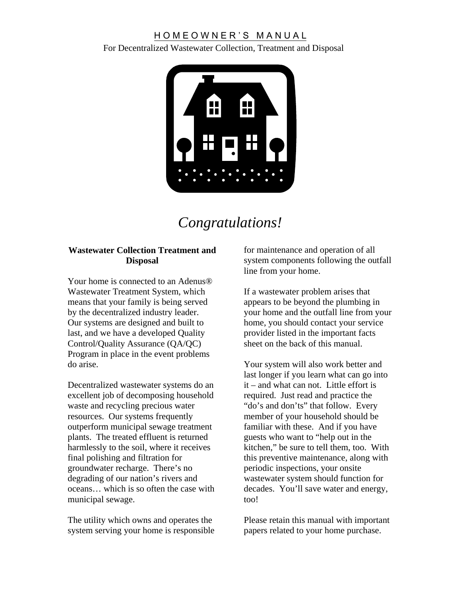For Decentralized Wastewater Collection, Treatment and Disposal



# *Congratulations!*

#### **Wastewater Collection Treatment and Disposal**

Your home is connected to an Adenus<sup>®</sup> Wastewater Treatment System, which means that your family is being served by the decentralized industry leader. Our systems are designed and built to last, and we have a developed Quality Control/Quality Assurance (QA/QC) Program in place in the event problems do arise.

Decentralized wastewater systems do an excellent job of decomposing household waste and recycling precious water resources. Our systems frequently outperform municipal sewage treatment plants. The treated effluent is returned harmlessly to the soil, where it receives final polishing and filtration for groundwater recharge. There's no degrading of our nation's rivers and oceans… which is so often the case with municipal sewage.

The utility which owns and operates the system serving your home is responsible for maintenance and operation of all system components following the outfall line from your home.

If a wastewater problem arises that appears to be beyond the plumbing in your home and the outfall line from your home, you should contact your service provider listed in the important facts sheet on the back of this manual.

Your system will also work better and last longer if you learn what can go into it – and what can not. Little effort is required. Just read and practice the "do's and don'ts" that follow. Every member of your household should be familiar with these. And if you have guests who want to "help out in the kitchen," be sure to tell them, too. With this preventive maintenance, along with periodic inspections, your onsite wastewater system should function for decades. You'll save water and energy, too!

Please retain this manual with important papers related to your home purchase.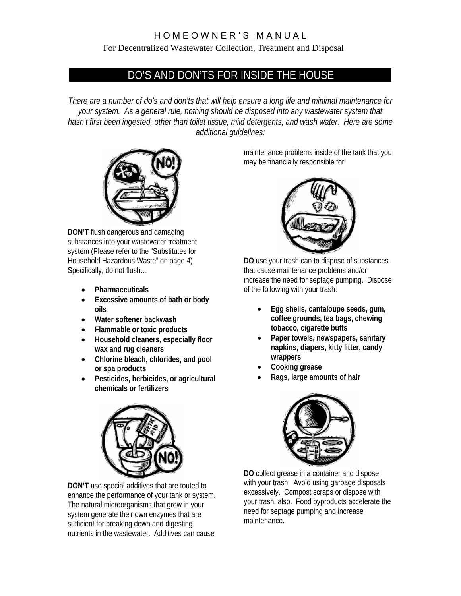#### For Decentralized Wastewater Collection, Treatment and Disposal

## DO'S AND DON'TS FOR INSIDE THE HOUSE

*There are a number of do's and don'ts that will help ensure a long life and minimal maintenance for your system. As a general rule, nothing should be disposed into any wastewater system that hasn't first been ingested, other than toilet tissue, mild detergents, and wash water. Here are some additional guidelines:* 



**DON'T** flush dangerous and damaging substances into your wastewater treatment system (Please refer to the "Substitutes for Household Hazardous Waste" on page 4) Specifically, do not flush…

- **Pharmaceuticals**
- **Excessive amounts of bath or body oils**
- **Water softener backwash**
- **Flammable or toxic products**
- **Household cleaners, especially floor wax and rug cleaners**
- **Chlorine bleach, chlorides, and pool or spa products**
- **Pesticides, herbicides, or agricultural chemicals or fertilizers**



**DON'T** use special additives that are touted to enhance the performance of your tank or system. The natural microorganisms that grow in your system generate their own enzymes that are sufficient for breaking down and digesting nutrients in the wastewater. Additives can cause

maintenance problems inside of the tank that you may be financially responsible for!



**DO** use your trash can to dispose of substances that cause maintenance problems and/or increase the need for septage pumping. Dispose of the following with your trash:

- **Egg shells, cantaloupe seeds, gum, coffee grounds, tea bags, chewing tobacco, cigarette butts**
- **Paper towels, newspapers, sanitary napkins, diapers, kitty litter, candy wrappers**
- **Cooking grease**
- **Rags, large amounts of hair**



**DO** collect grease in a container and dispose with your trash. Avoid using garbage disposals excessively. Compost scraps or dispose with your trash, also. Food byproducts accelerate the need for septage pumping and increase maintenance.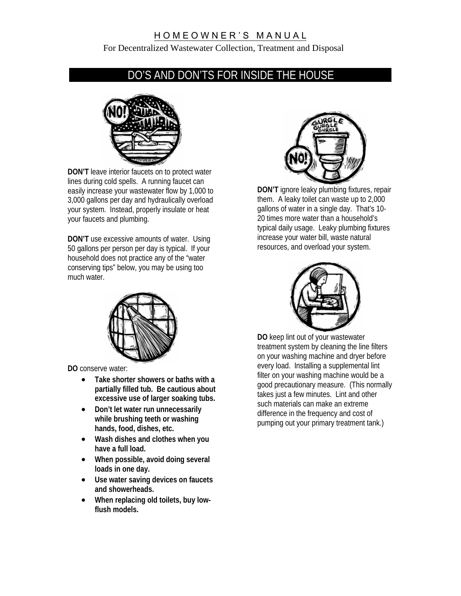For Decentralized Wastewater Collection, Treatment and Disposal

## DO'S AND DON'TS FOR INSIDE THE HOUSE



**DON'T** leave interior faucets on to protect water lines during cold spells. A running faucet can easily increase your wastewater flow by 1,000 to 3,000 gallons per day and hydraulically overload your system. Instead, properly insulate or heat your faucets and plumbing.

**DON'T** use excessive amounts of water. Using 50 gallons per person per day is typical. If your household does not practice any of the "water conserving tips" below, you may be using too much water.



**DO** conserve water:

- **Take shorter showers or baths with a partially filled tub. Be cautious about excessive use of larger soaking tubs.**
- **Don't let water run unnecessarily while brushing teeth or washing hands, food, dishes, etc.**
- **Wash dishes and clothes when you have a full load.**
- **When possible, avoid doing several loads in one day.**
- **Use water saving devices on faucets and showerheads.**
- **When replacing old toilets, buy lowflush models.**



**DON'T** ignore leaky plumbing fixtures, repair them. A leaky toilet can waste up to 2,000 gallons of water in a single day. That's 10- 20 times more water than a household's typical daily usage. Leaky plumbing fixtures increase your water bill, waste natural resources, and overload your system.



**DO** keep lint out of your wastewater treatment system by cleaning the line filters on your washing machine and dryer before every load. Installing a supplemental lint filter on your washing machine would be a good precautionary measure. (This normally takes just a few minutes. Lint and other such materials can make an extreme difference in the frequency and cost of pumping out your primary treatment tank.)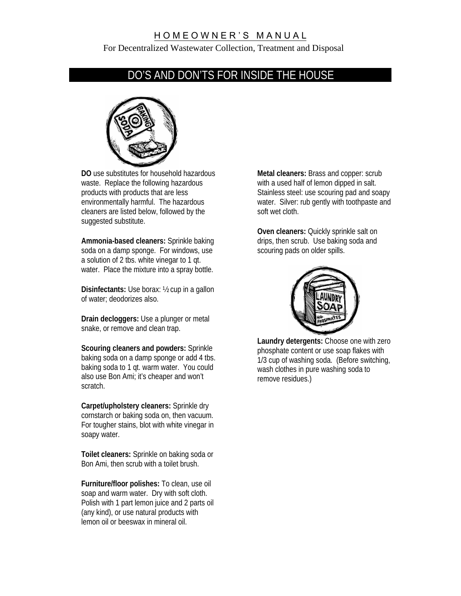For Decentralized Wastewater Collection, Treatment and Disposal

## DO'S AND DON'TS FOR INSIDE THE HOUSE



**DO** use substitutes for household hazardous waste. Replace the following hazardous products with products that are less environmentally harmful. The hazardous cleaners are listed below, followed by the suggested substitute.

**Ammonia-based cleaners:** Sprinkle baking soda on a damp sponge. For windows, use a solution of 2 tbs. white vinegar to 1 qt. water. Place the mixture into a spray bottle.

**Disinfectants:** Use borax: ½ cup in a gallon of water; deodorizes also.

**Drain decloggers:** Use a plunger or metal snake, or remove and clean trap.

**Scouring cleaners and powders:** Sprinkle baking soda on a damp sponge or add 4 tbs. baking soda to 1 qt. warm water. You could also use Bon Ami; it's cheaper and won't scratch.

**Carpet/upholstery cleaners:** Sprinkle dry cornstarch or baking soda on, then vacuum. For tougher stains, blot with white vinegar in soapy water.

**Toilet cleaners:** Sprinkle on baking soda or Bon Ami, then scrub with a toilet brush.

**Furniture/floor polishes:** To clean, use oil soap and warm water. Dry with soft cloth. Polish with 1 part lemon juice and 2 parts oil (any kind), or use natural products with lemon oil or beeswax in mineral oil.

**Metal cleaners:** Brass and copper: scrub with a used half of lemon dipped in salt. Stainless steel: use scouring pad and soapy water. Silver: rub gently with toothpaste and soft wet cloth.

**Oven cleaners:** Quickly sprinkle salt on drips, then scrub. Use baking soda and scouring pads on older spills.



**Laundry detergents:** Choose one with zero phosphate content or use soap flakes with 1/3 cup of washing soda. (Before switching, wash clothes in pure washing soda to remove residues.)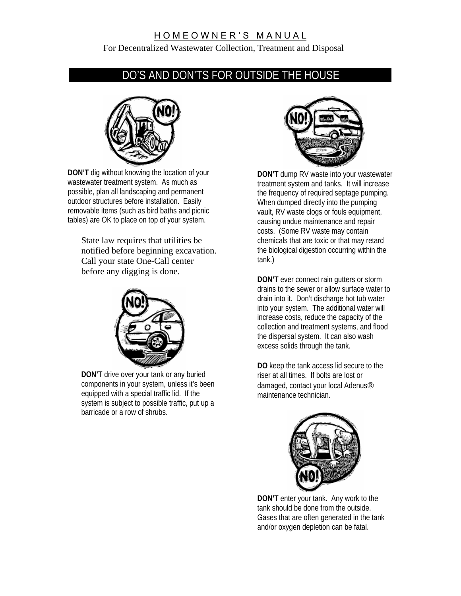For Decentralized Wastewater Collection, Treatment and Disposal

## DO'S AND DON'TS FOR OUTSIDE THE HOUSE



**DON'T** dig without knowing the location of your wastewater treatment system. As much as possible, plan all landscaping and permanent outdoor structures before installation. Easily removable items (such as bird baths and picnic tables) are OK to place on top of your system.

State law requires that utilities be notified before beginning excavation. Call your state One-Call center before any digging is done.



**DON'T** drive over your tank or any buried components in your system, unless it's been equipped with a special traffic lid. If the system is subject to possible traffic, put up a barricade or a row of shrubs.



**DON'T** dump RV waste into your wastewater treatment system and tanks. It will increase the frequency of required septage pumping. When dumped directly into the pumping vault, RV waste clogs or fouls equipment, causing undue maintenance and repair costs. (Some RV waste may contain chemicals that are toxic or that may retard the biological digestion occurring within the tank.)

**DON'T** ever connect rain gutters or storm drains to the sewer or allow surface water to drain into it. Don't discharge hot tub water into your system. The additional water will increase costs, reduce the capacity of the collection and treatment systems, and flood the dispersal system. It can also wash excess solids through the tank.

**DO** keep the tank access lid secure to the riser at all times. If bolts are lost or damaged, contact your local Adenus® maintenance technician.



**DON'T** enter your tank. Any work to the tank should be done from the outside. Gases that are often generated in the tank and/or oxygen depletion can be fatal.